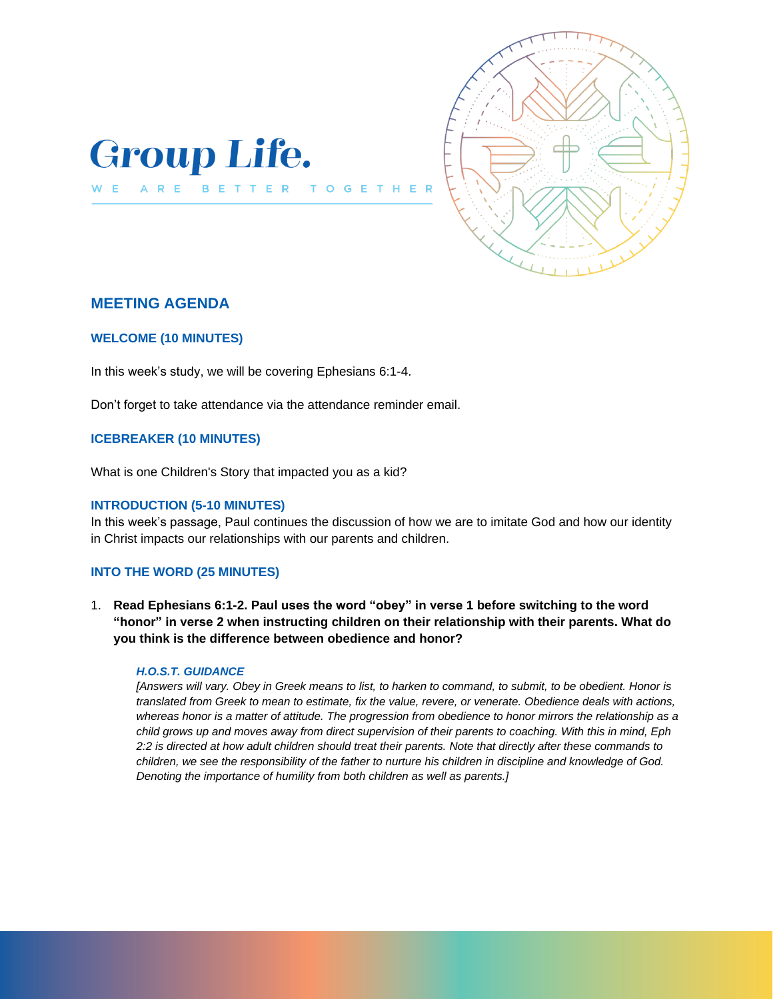



# **MEETING AGENDA**

ARE

W E

### **WELCOME (10 MINUTES)**

In this week's study, we will be covering Ephesians 6:1-4.

BETTER

T O  $\mathsf{G}$ 

Don't forget to take attendance via the attendance reminder email.

## **ICEBREAKER (10 MINUTES)**

What is one Children's Story that impacted you as a kid?

### **INTRODUCTION (5-10 MINUTES)**

In this week's passage, Paul continues the discussion of how we are to imitate God and how our identity in Christ impacts our relationships with our parents and children.

## **INTO THE WORD (25 MINUTES)**

1. **Read Ephesians 6:1-2. Paul uses the word "obey" in verse 1 before switching to the word "honor" in verse 2 when instructing children on their relationship with their parents. What do you think is the difference between obedience and honor?** 

#### *H.O.S.T. GUIDANCE*

*[Answers will vary. Obey in Greek means to list, to harken to command, to submit, to be obedient. Honor is translated from Greek to mean to estimate, fix the value, revere, or venerate. Obedience deals with actions, whereas honor is a matter of attitude. The progression from obedience to honor mirrors the relationship as a child grows up and moves away from direct supervision of their parents to coaching. With this in mind, Eph 2:2 is directed at how adult children should treat their parents. Note that directly after these commands to children, we see the responsibility of the father to nurture his children in discipline and knowledge of God. Denoting the importance of humility from both children as well as parents.]*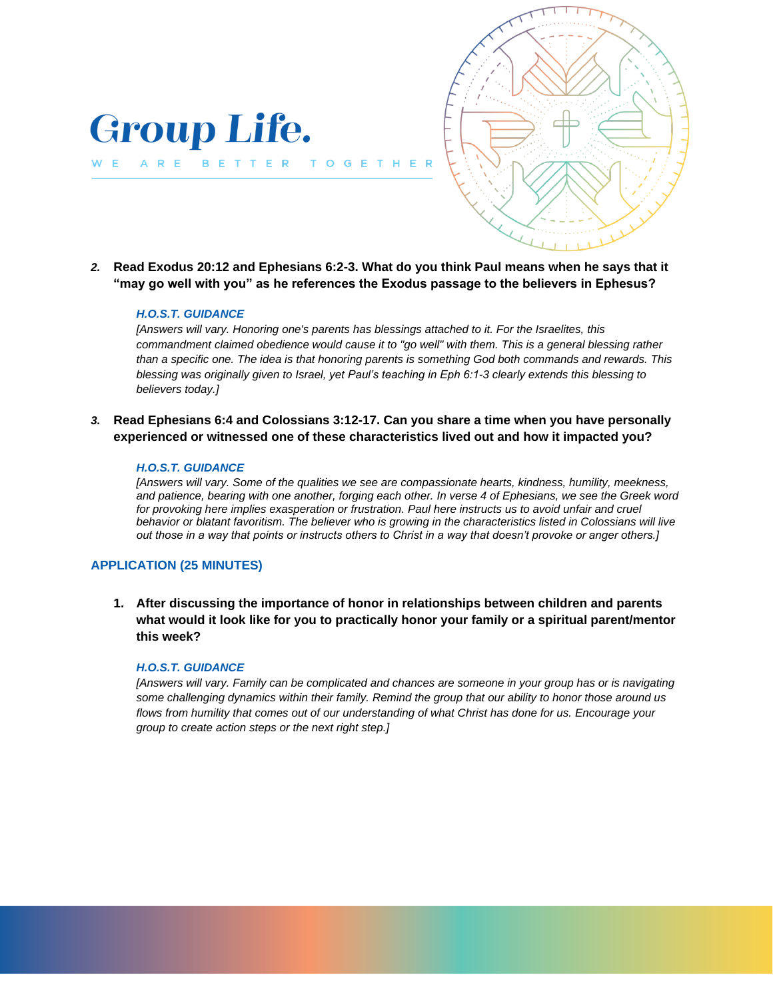

*2.* **Read Exodus 20:12 and Ephesians 6:2-3. What do you think Paul means when he says that it "may go well with you" as he references the Exodus passage to the believers in Ephesus?**

G

#### *H.O.S.T. GUIDANCE*

**Group Life.** 

BETTER TO

ARE

W E

*[Answers will vary. Honoring one's parents has blessings attached to it. For the Israelites, this commandment claimed obedience would cause it to "go well" with them. This is a general blessing rather than a specific one. The idea is that honoring parents is something God both commands and rewards. This blessing was originally given to Israel, yet Paul's teaching in Eph 6:1-3 clearly extends this blessing to believers today.]*

*3.* **Read Ephesians 6:4 and Colossians 3:12-17. Can you share a time when you have personally experienced or witnessed one of these characteristics lived out and how it impacted you?**

### *H.O.S.T. GUIDANCE*

*[Answers will vary. Some of the qualities we see are compassionate hearts, kindness, humility, meekness, and patience, bearing with one another, forging each other. In verse 4 of Ephesians, we see the Greek word for provoking here implies exasperation or frustration. Paul here instructs us to avoid unfair and cruel behavior or blatant favoritism. The believer who is growing in the characteristics listed in Colossians will live out those in a way that points or instructs others to Christ in a way that doesn't provoke or anger others.]* 

### **APPLICATION (25 MINUTES)**

**1. After discussing the importance of honor in relationships between children and parents what would it look like for you to practically honor your family or a spiritual parent/mentor this week?** 

### *H.O.S.T. GUIDANCE*

*[Answers will vary. Family can be complicated and chances are someone in your group has or is navigating some challenging dynamics within their family. Remind the group that our ability to honor those around us flows from humility that comes out of our understanding of what Christ has done for us. Encourage your group to create action steps or the next right step.]*